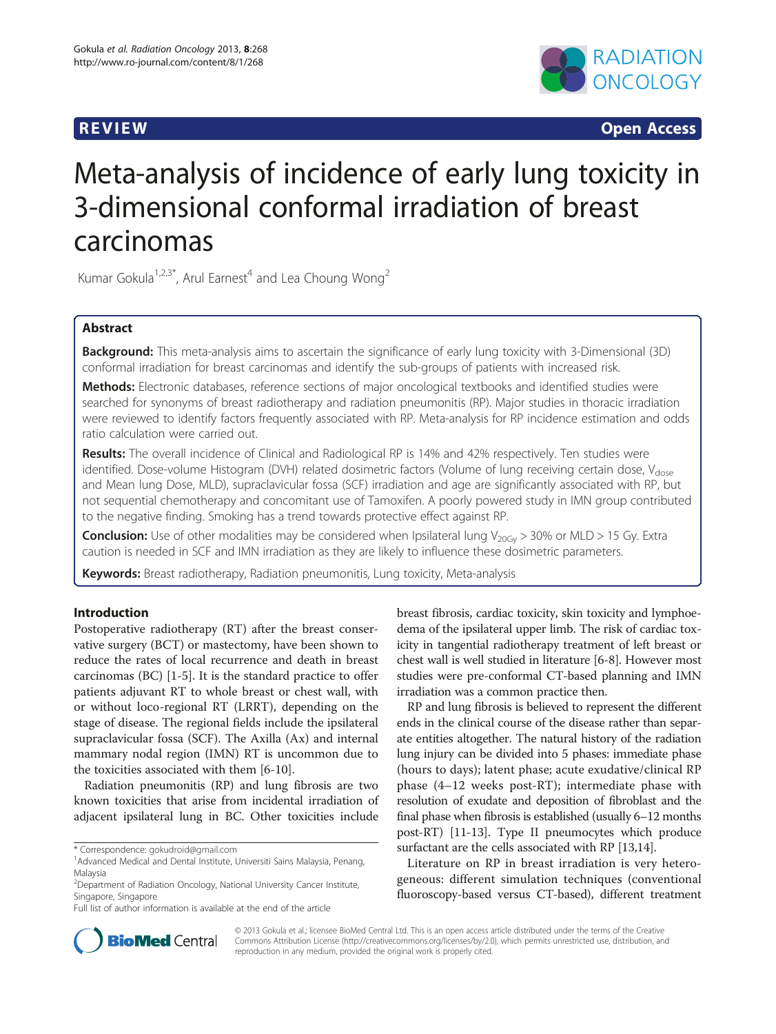

**REVIEW REVIEW CONSTRUCTER ACCESS** 

# Meta-analysis of incidence of early lung toxicity in 3-dimensional conformal irradiation of breast carcinomas

Kumar Gokula<sup>1,2,3\*</sup>, Arul Earnest<sup>4</sup> and Lea Choung Wong<sup>2</sup>

# Abstract

Background: This meta-analysis aims to ascertain the significance of early lung toxicity with 3-Dimensional (3D) conformal irradiation for breast carcinomas and identify the sub-groups of patients with increased risk.

Methods: Electronic databases, reference sections of major oncological textbooks and identified studies were searched for synonyms of breast radiotherapy and radiation pneumonitis (RP). Major studies in thoracic irradiation were reviewed to identify factors frequently associated with RP. Meta-analysis for RP incidence estimation and odds ratio calculation were carried out.

Results: The overall incidence of Clinical and Radiological RP is 14% and 42% respectively. Ten studies were identified. Dose-volume Histogram (DVH) related dosimetric factors (Volume of lung receiving certain dose, V<sub>dose</sub> and Mean lung Dose, MLD), supraclavicular fossa (SCF) irradiation and age are significantly associated with RP, but not sequential chemotherapy and concomitant use of Tamoxifen. A poorly powered study in IMN group contributed to the negative finding. Smoking has a trend towards protective effect against RP.

**Conclusion:** Use of other modalities may be considered when Ipsilateral lung  $V_{20G_y} > 30\%$  or MLD > 15 Gy. Extra caution is needed in SCF and IMN irradiation as they are likely to influence these dosimetric parameters.

Keywords: Breast radiotherapy, Radiation pneumonitis, Lung toxicity, Meta-analysis

# Introduction

Postoperative radiotherapy (RT) after the breast conservative surgery (BCT) or mastectomy, have been shown to reduce the rates of local recurrence and death in breast carcinomas (BC) [\[1](#page-9-0)-[5\]](#page-9-0). It is the standard practice to offer patients adjuvant RT to whole breast or chest wall, with or without loco-regional RT (LRRT), depending on the stage of disease. The regional fields include the ipsilateral supraclavicular fossa (SCF). The Axilla (Ax) and internal mammary nodal region (IMN) RT is uncommon due to the toxicities associated with them [[6-10](#page-9-0)].

Radiation pneumonitis (RP) and lung fibrosis are two known toxicities that arise from incidental irradiation of adjacent ipsilateral lung in BC. Other toxicities include

breast fibrosis, cardiac toxicity, skin toxicity and lymphoedema of the ipsilateral upper limb. The risk of cardiac toxicity in tangential radiotherapy treatment of left breast or chest wall is well studied in literature [[6-8](#page-9-0)]. However most studies were pre-conformal CT-based planning and IMN irradiation was a common practice then.

RP and lung fibrosis is believed to represent the different ends in the clinical course of the disease rather than separate entities altogether. The natural history of the radiation lung injury can be divided into 5 phases: immediate phase (hours to days); latent phase; acute exudative/clinical RP phase (4–12 weeks post-RT); intermediate phase with resolution of exudate and deposition of fibroblast and the final phase when fibrosis is established (usually 6–12 months post-RT) [[11](#page-9-0)-[13](#page-9-0)]. Type II pneumocytes which produce surfactant are the cells associated with RP [[13,14\]](#page-9-0).

Literature on RP in breast irradiation is very heterogeneous: different simulation techniques (conventional fluoroscopy-based versus CT-based), different treatment



© 2013 Gokula et al.; licensee BioMed Central Ltd. This is an open access article distributed under the terms of the Creative Commons Attribution License [\(http://creativecommons.org/licenses/by/2.0\)](http://creativecommons.org/licenses/by/2.0), which permits unrestricted use, distribution, and reproduction in any medium, provided the original work is properly cited.

<sup>\*</sup> Correspondence: [gokudroid@gmail.com](mailto:gokudroid@gmail.com) <sup>1</sup>

<sup>&</sup>lt;sup>1</sup> Advanced Medical and Dental Institute, Universiti Sains Malaysia, Penang, Malaysia

<sup>&</sup>lt;sup>2</sup> Department of Radiation Oncology, National University Cancer Institute, Singapore, Singapore

Full list of author information is available at the end of the article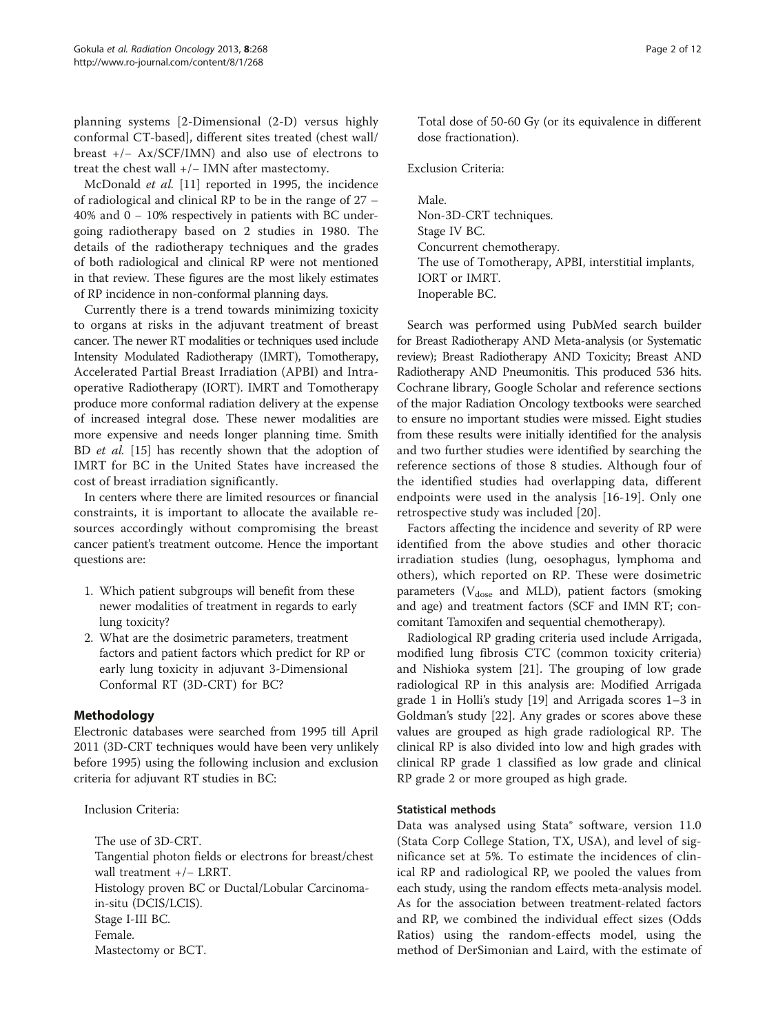planning systems [2-Dimensional (2-D) versus highly conformal CT-based], different sites treated (chest wall/ breast +/− Ax/SCF/IMN) and also use of electrons to treat the chest wall +/− IMN after mastectomy.

McDonald et al. [[11\]](#page-9-0) reported in 1995, the incidence of radiological and clinical RP to be in the range of 27 – 40% and 0 − 10% respectively in patients with BC undergoing radiotherapy based on 2 studies in 1980. The details of the radiotherapy techniques and the grades of both radiological and clinical RP were not mentioned in that review. These figures are the most likely estimates of RP incidence in non-conformal planning days.

Currently there is a trend towards minimizing toxicity to organs at risks in the adjuvant treatment of breast cancer. The newer RT modalities or techniques used include Intensity Modulated Radiotherapy (IMRT), Tomotherapy, Accelerated Partial Breast Irradiation (APBI) and Intraoperative Radiotherapy (IORT). IMRT and Tomotherapy produce more conformal radiation delivery at the expense of increased integral dose. These newer modalities are more expensive and needs longer planning time. Smith BD et al. [\[15\]](#page-9-0) has recently shown that the adoption of IMRT for BC in the United States have increased the cost of breast irradiation significantly.

In centers where there are limited resources or financial constraints, it is important to allocate the available resources accordingly without compromising the breast cancer patient's treatment outcome. Hence the important questions are:

- 1. Which patient subgroups will benefit from these newer modalities of treatment in regards to early lung toxicity?
- 2. What are the dosimetric parameters, treatment factors and patient factors which predict for RP or early lung toxicity in adjuvant 3-Dimensional Conformal RT (3D-CRT) for BC?

# Methodology

Electronic databases were searched from 1995 till April 2011 (3D-CRT techniques would have been very unlikely before 1995) using the following inclusion and exclusion criteria for adjuvant RT studies in BC:

Inclusion Criteria:

The use of 3D-CRT. Tangential photon fields or electrons for breast/chest wall treatment +/− LRRT. Histology proven BC or Ductal/Lobular Carcinomain-situ (DCIS/LCIS). Stage I-III BC. Female. Mastectomy or BCT.

Total dose of 50-60 Gy (or its equivalence in different dose fractionation).

Exclusion Criteria:

Male. Non-3D-CRT techniques. Stage IV BC. Concurrent chemotherapy. The use of Tomotherapy, APBI, interstitial implants, IORT or IMRT. Inoperable BC.

Search was performed using PubMed search builder for Breast Radiotherapy AND Meta-analysis (or Systematic review); Breast Radiotherapy AND Toxicity; Breast AND Radiotherapy AND Pneumonitis. This produced 536 hits. Cochrane library, Google Scholar and reference sections of the major Radiation Oncology textbooks were searched to ensure no important studies were missed. Eight studies from these results were initially identified for the analysis and two further studies were identified by searching the reference sections of those 8 studies. Although four of the identified studies had overlapping data, different endpoints were used in the analysis [[16-](#page-9-0)[19](#page-10-0)]. Only one retrospective study was included [[20\]](#page-10-0).

Factors affecting the incidence and severity of RP were identified from the above studies and other thoracic irradiation studies (lung, oesophagus, lymphoma and others), which reported on RP. These were dosimetric parameters ( $V_{dose}$  and MLD), patient factors (smoking and age) and treatment factors (SCF and IMN RT; concomitant Tamoxifen and sequential chemotherapy).

Radiological RP grading criteria used include Arrigada, modified lung fibrosis CTC (common toxicity criteria) and Nishioka system [\[21](#page-10-0)]. The grouping of low grade radiological RP in this analysis are: Modified Arrigada grade 1 in Holli's study [\[19](#page-10-0)] and Arrigada scores 1–3 in Goldman's study [\[22](#page-10-0)]. Any grades or scores above these values are grouped as high grade radiological RP. The clinical RP is also divided into low and high grades with clinical RP grade 1 classified as low grade and clinical RP grade 2 or more grouped as high grade.

# Statistical methods

Data was analysed using Stata® software, version 11.0 (Stata Corp College Station, TX, USA), and level of significance set at 5%. To estimate the incidences of clinical RP and radiological RP, we pooled the values from each study, using the random effects meta-analysis model. As for the association between treatment-related factors and RP, we combined the individual effect sizes (Odds Ratios) using the random-effects model, using the method of DerSimonian and Laird, with the estimate of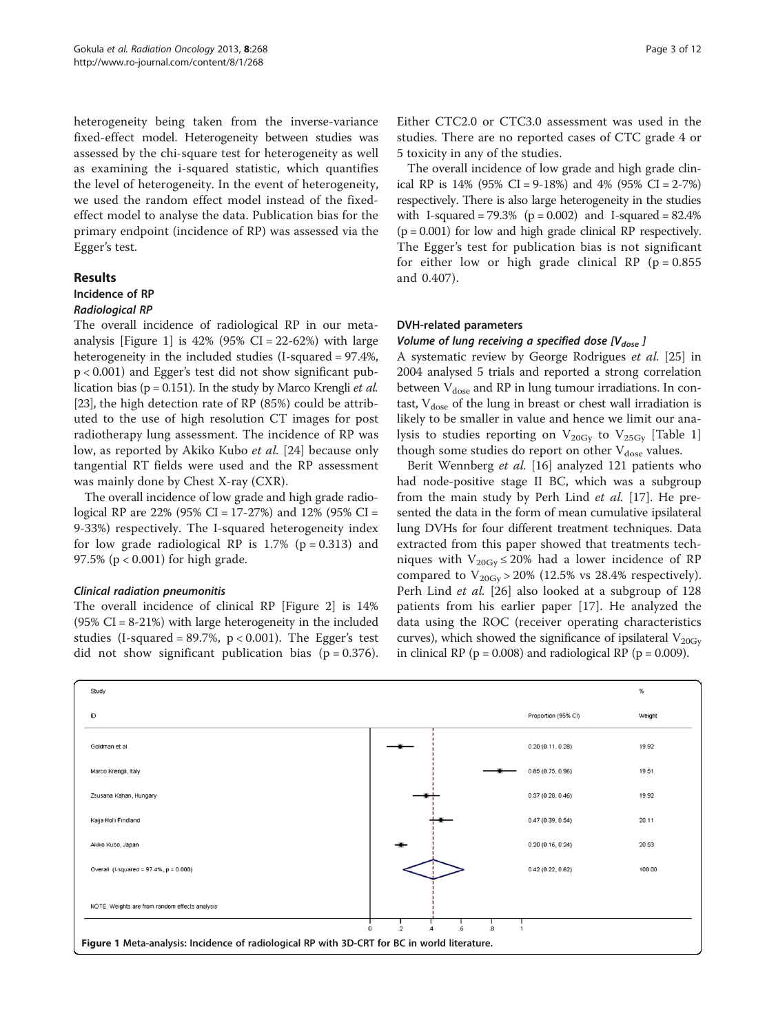heterogeneity being taken from the inverse-variance fixed-effect model. Heterogeneity between studies was assessed by the chi-square test for heterogeneity as well as examining the i-squared statistic, which quantifies the level of heterogeneity. In the event of heterogeneity, we used the random effect model instead of the fixedeffect model to analyse the data. Publication bias for the primary endpoint (incidence of RP) was assessed via the Egger's test.

#### Results

#### Incidence of RP

### Radiological RP

The overall incidence of radiological RP in our metaanalysis [Figure 1] is  $42\%$  (95% CI = 22-62%) with large heterogeneity in the included studies (I-squared = 97.4%, p < 0.001) and Egger's test did not show significant publication bias ( $p = 0.151$ ). In the study by Marco Krengli *et al.* [[23\]](#page-10-0), the high detection rate of RP (85%) could be attributed to the use of high resolution CT images for post radiotherapy lung assessment. The incidence of RP was low, as reported by Akiko Kubo et al. [[24\]](#page-10-0) because only tangential RT fields were used and the RP assessment was mainly done by Chest X-ray (CXR).

The overall incidence of low grade and high grade radiological RP are 22% (95% CI = 17-27%) and 12% (95% CI = 9-33%) respectively. The I-squared heterogeneity index for low grade radiological RP is  $1.7\%$  ( $p = 0.313$ ) and 97.5% (p < 0.001) for high grade.

#### Clinical radiation pneumonitis

The overall incidence of clinical RP [Figure [2\]](#page-3-0) is 14% (95% CI = 8-21%) with large heterogeneity in the included studies (I-squared =  $89.7\%$ , p < 0.001). The Egger's test did not show significant publication bias ( $p = 0.376$ ).

Either CTC2.0 or CTC3.0 assessment was used in the studies. There are no reported cases of CTC grade 4 or 5 toxicity in any of the studies.

The overall incidence of low grade and high grade clinical RP is  $14\%$  (95% CI = 9-18%) and  $4\%$  (95% CI = 2-7%) respectively. There is also large heterogeneity in the studies with I-squared =  $79.3\%$  (p = 0.002) and I-squared =  $82.4\%$  $(p = 0.001)$  for low and high grade clinical RP respectively. The Egger's test for publication bias is not significant for either low or high grade clinical RP ( $p = 0.855$ ) and 0.407).

#### DVH-related parameters

#### Volume of lung receiving a specified dose  $[V_{dose}]$

A systematic review by George Rodrigues et al. [[25](#page-10-0)] in 2004 analysed 5 trials and reported a strong correlation between  $V_{dose}$  and RP in lung tumour irradiations. In contast,  $V_{dose}$  of the lung in breast or chest wall irradiation is likely to be smaller in value and hence we limit our analysis to studies reporting on  $V_{20Gy}$  to  $V_{25Gy}$  [Table [1](#page-4-0)] though some studies do report on other  $V_{dose}$  values.

Berit Wennberg et al. [\[16\]](#page-9-0) analyzed 121 patients who had node-positive stage II BC, which was a subgroup from the main study by Perh Lind et al. [\[17\]](#page-9-0). He presented the data in the form of mean cumulative ipsilateral lung DVHs for four different treatment techniques. Data extracted from this paper showed that treatments techniques with  $V_{20\text{Gy}} \leq 20\%$  had a lower incidence of RP compared to  $V_{20\text{Gy}} > 20\%$  (12.5% vs 28.4% respectively). Perh Lind et al. [[26\]](#page-10-0) also looked at a subgroup of 128 patients from his earlier paper [\[17](#page-9-0)]. He analyzed the data using the ROC (receiver operating characteristics curves), which showed the significance of ipsilateral  $V_{20Gv}$ in clinical RP ( $p = 0.008$ ) and radiological RP ( $p = 0.009$ ).

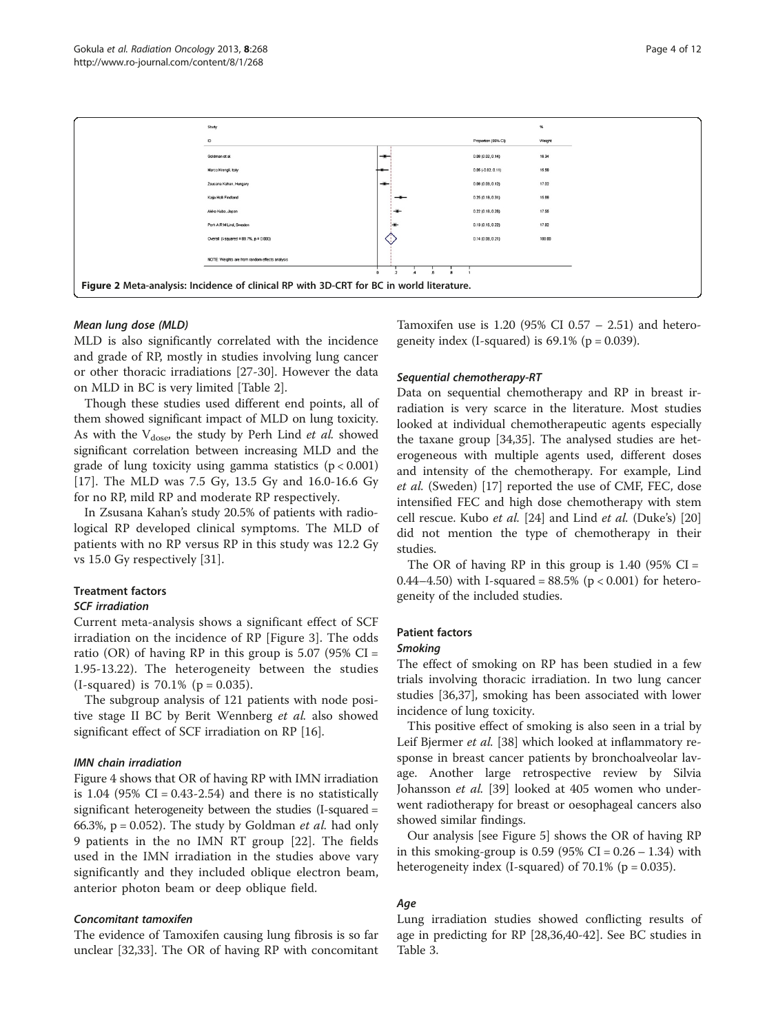<span id="page-3-0"></span>

### Mean lung dose (MLD)

MLD is also significantly correlated with the incidence and grade of RP, mostly in studies involving lung cancer or other thoracic irradiations [\[27](#page-10-0)-[30\]](#page-10-0). However the data on MLD in BC is very limited [Table [2](#page-5-0)].

Though these studies used different end points, all of them showed significant impact of MLD on lung toxicity. As with the  $V_{dose}$ , the study by Perh Lind et al. showed significant correlation between increasing MLD and the grade of lung toxicity using gamma statistics  $(p < 0.001)$ [[17\]](#page-9-0). The MLD was 7.5 Gy, 13.5 Gy and 16.0-16.6 Gy for no RP, mild RP and moderate RP respectively.

In Zsusana Kahan's study 20.5% of patients with radiological RP developed clinical symptoms. The MLD of patients with no RP versus RP in this study was 12.2 Gy vs 15.0 Gy respectively [[31\]](#page-10-0).

# Treatment factors

#### SCF irradiation

Current meta-analysis shows a significant effect of SCF irradiation on the incidence of RP [Figure [3](#page-5-0)]. The odds ratio (OR) of having RP in this group is  $5.07$  (95% CI = 1.95-13.22). The heterogeneity between the studies  $(I-squared)$  is 70.1% ( $p = 0.035$ ).

The subgroup analysis of 121 patients with node positive stage II BC by Berit Wennberg et al. also showed significant effect of SCF irradiation on RP [\[16\]](#page-9-0).

#### IMN chain irradiation

Figure [4](#page-6-0) shows that OR of having RP with IMN irradiation is  $1.04$  (95% CI = 0.43-2.54) and there is no statistically significant heterogeneity between the studies (I-squared = 66.3%,  $p = 0.052$ ). The study by Goldman *et al.* had only 9 patients in the no IMN RT group [\[22](#page-10-0)]. The fields used in the IMN irradiation in the studies above vary significantly and they included oblique electron beam, anterior photon beam or deep oblique field.

#### Concomitant tamoxifen

The evidence of Tamoxifen causing lung fibrosis is so far unclear [\[32,33](#page-10-0)]. The OR of having RP with concomitant

Tamoxifen use is 1.20 (95% CI 0.57 – 2.51) and heterogeneity index (I-squared) is  $69.1\%$  (p = 0.039).

# Sequential chemotherapy-RT

Data on sequential chemotherapy and RP in breast irradiation is very scarce in the literature. Most studies looked at individual chemotherapeutic agents especially the taxane group [[34](#page-10-0),[35](#page-10-0)]. The analysed studies are heterogeneous with multiple agents used, different doses and intensity of the chemotherapy. For example, Lind et al. (Sweden) [[17\]](#page-9-0) reported the use of CMF, FEC, dose intensified FEC and high dose chemotherapy with stem cell rescue. Kubo et al. [[24](#page-10-0)] and Lind et al. (Duke's) [[20](#page-10-0)] did not mention the type of chemotherapy in their studies.

The OR of having RP in this group is  $1.40$  (95% CI = 0.44–4.50) with I-squared =  $88.5\%$  (p < 0.001) for heterogeneity of the included studies.

# Patient factors

#### Smoking

The effect of smoking on RP has been studied in a few trials involving thoracic irradiation. In two lung cancer studies [[36,37\]](#page-10-0), smoking has been associated with lower incidence of lung toxicity.

This positive effect of smoking is also seen in a trial by Leif Bjermer et al. [\[38\]](#page-10-0) which looked at inflammatory response in breast cancer patients by bronchoalveolar lavage. Another large retrospective review by Silvia Johansson et al. [\[39](#page-10-0)] looked at 405 women who underwent radiotherapy for breast or oesophageal cancers also showed similar findings.

Our analysis [see Figure [5](#page-6-0)] shows the OR of having RP in this smoking-group is  $0.59$  (95% CI =  $0.26 - 1.34$ ) with heterogeneity index (I-squared) of  $70.1\%$  (p = 0.035).

# Age

Lung irradiation studies showed conflicting results of age in predicting for RP [\[28,36,40](#page-10-0)-[42\]](#page-10-0). See BC studies in Table [3.](#page-7-0)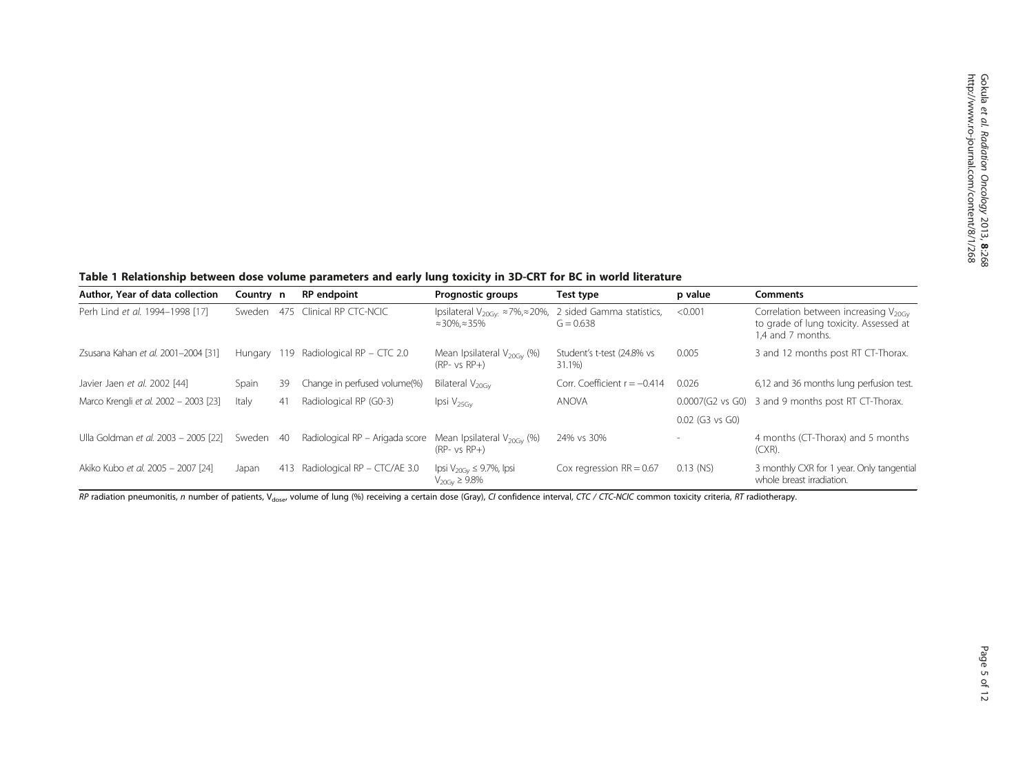<span id="page-4-0"></span>Table 1 Relationship between dose volume parameters and early lung toxicity in 3D-CRT for BC in world literature

| Author, Year of data collection       | Country n   |     | <b>RP</b> endpoint              | Prognostic groups                                                                          | Test type                                | p value           | <b>Comments</b>                                                                                                 |
|---------------------------------------|-------------|-----|---------------------------------|--------------------------------------------------------------------------------------------|------------------------------------------|-------------------|-----------------------------------------------------------------------------------------------------------------|
| Perh Lind et al. 1994-1998 [17]       | Sweden      | 475 | Clinical RP CTC-NCIC            | Ipsilateral V <sub>20Gv</sub> $\approx$ 7%, $\approx$ 20%,<br>$\approx$ 30%, $\approx$ 35% | 2 sided Gamma statistics,<br>$G = 0.638$ | < 0.001           | Correlation between increasing $V_{20\text{Gv}}$<br>to grade of lung toxicity. Assessed at<br>1.4 and 7 months. |
| Zsusana Kahan et al. 2001-2004 [31]   | Hungary 119 |     | Radiological RP - CTC 2.0       | Mean Ipsilateral $V_{20\text{Gv}}$ (%)<br>$(RP-vs RP+)$                                    | Student's t-test (24.8% vs<br>31.1%      | 0.005             | 3 and 12 months post RT CT-Thorax.                                                                              |
| Javier Jaen et al. 2002 [44]          | Spain       | 39  | Change in perfused volume(%)    | Bilateral $V_{20\text{Gv}}$                                                                | Corr. Coefficient $r = -0.414$           | 0.026             | 6,12 and 36 months lung perfusion test.                                                                         |
| Marco Krengli et al. 2002 - 2003 [23] | Italy       | 41  | Radiological RP (G0-3)          | $Ipsi \ V_{25GV}$                                                                          | <b>ANOVA</b>                             |                   | 0.0007(G2 vs G0) 3 and 9 months post RT CT-Thorax.                                                              |
|                                       |             |     |                                 |                                                                                            |                                          | $0.02$ (G3 vs G0) |                                                                                                                 |
| Ulla Goldman et al. 2003 - 2005 [22]  | Sweden 40   |     | Radiological RP - Arigada score | Mean Ipsilateral $V_{20\text{Gv}}$ (%)<br>$(RP-vsRP+)$                                     | 24% vs 30%                               |                   | 4 months (CT-Thorax) and 5 months<br>(CXR).                                                                     |
| Akiko Kubo et al. 2005 - 2007 [24]    | Japan       | 413 | Radiological RP - CTC/AE 3.0    | lpsi $V_{20\text{GV}} \leq 9.7\%$ , lpsi<br>$V_{20\text{Gv}} \geq 9.8\%$                   | Cox regression $RR = 0.67$               | $0.13$ (NS)       | 3 monthly CXR for 1 year. Only tangential<br>whole breast irradiation.                                          |

RP radiation pneumonitis, n number of patients, V<sub>dose</sub>, volume of lung (%) receiving a certain dose (Gray), CI confidence interval, CTC / CTC-NCIC common toxicity criteria, RT radiotherapy.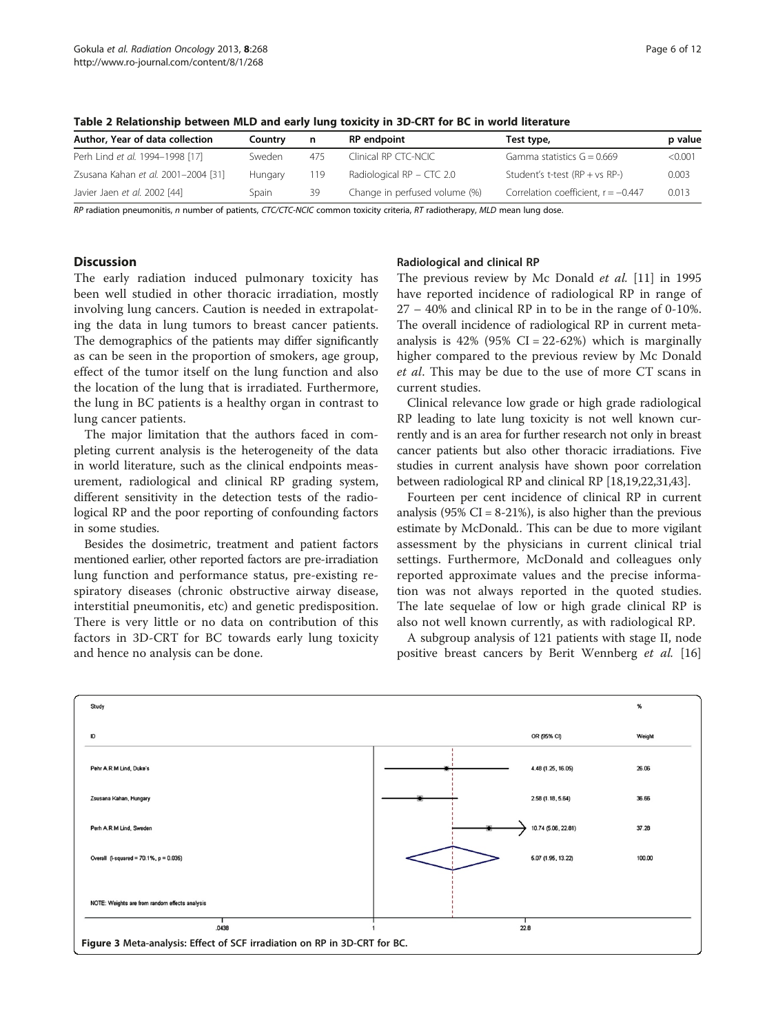| Author, Year of data collection     | Countrv | n   | <b>RP</b> endpoint            | Test type,                            | p value |
|-------------------------------------|---------|-----|-------------------------------|---------------------------------------|---------|
| Perh Lind et al. 1994-1998 [17]     | Sweden  | 475 | Clinical RP CTC-NCIC          | Gamma statistics $G = 0.669$          | < 0.001 |
| Zsusana Kahan et al. 2001-2004 [31] | Hungary | 119 | Radiological $RP - CTC$ 2.0   | Student's t-test $(RP + vs RP-)$      | 0.003   |
| Javier Jaen et al. 2002 [44]        | Spain   | 39  | Change in perfused volume (%) | Correlation coefficient, $r = -0.447$ | 0.013   |

<span id="page-5-0"></span>Table 2 Relationship between MLD and early lung toxicity in 3D-CRT for BC in world literature

RP radiation pneumonitis, n number of patients, CTC/CTC-NCIC common toxicity criteria, RT radiotherapy, MLD mean lung dose.

# **Discussion**

The early radiation induced pulmonary toxicity has been well studied in other thoracic irradiation, mostly involving lung cancers. Caution is needed in extrapolating the data in lung tumors to breast cancer patients. The demographics of the patients may differ significantly as can be seen in the proportion of smokers, age group, effect of the tumor itself on the lung function and also the location of the lung that is irradiated. Furthermore, the lung in BC patients is a healthy organ in contrast to lung cancer patients.

The major limitation that the authors faced in completing current analysis is the heterogeneity of the data in world literature, such as the clinical endpoints measurement, radiological and clinical RP grading system, different sensitivity in the detection tests of the radiological RP and the poor reporting of confounding factors in some studies.

Besides the dosimetric, treatment and patient factors mentioned earlier, other reported factors are pre-irradiation lung function and performance status, pre-existing respiratory diseases (chronic obstructive airway disease, interstitial pneumonitis, etc) and genetic predisposition. There is very little or no data on contribution of this factors in 3D-CRT for BC towards early lung toxicity and hence no analysis can be done.

# Radiological and clinical RP

The previous review by Mc Donald et al. [\[11](#page-9-0)] in 1995 have reported incidence of radiological RP in range of 27 – 40% and clinical RP in to be in the range of 0-10%. The overall incidence of radiological RP in current metaanalysis is  $42\%$  (95% CI = 22-62%) which is marginally higher compared to the previous review by Mc Donald et al. This may be due to the use of more CT scans in current studies.

Clinical relevance low grade or high grade radiological RP leading to late lung toxicity is not well known currently and is an area for further research not only in breast cancer patients but also other thoracic irradiations. Five studies in current analysis have shown poor correlation between radiological RP and clinical RP [[18,19,22,31,43\]](#page-10-0).

Fourteen per cent incidence of clinical RP in current analysis (95%  $CI = 8-21\%$ ), is also higher than the previous estimate by McDonald.. This can be due to more vigilant assessment by the physicians in current clinical trial settings. Furthermore, McDonald and colleagues only reported approximate values and the precise information was not always reported in the quoted studies. The late sequelae of low or high grade clinical RP is also not well known currently, as with radiological RP.

A subgroup analysis of 121 patients with stage II, node positive breast cancers by Berit Wennberg et al. [[16](#page-9-0)]

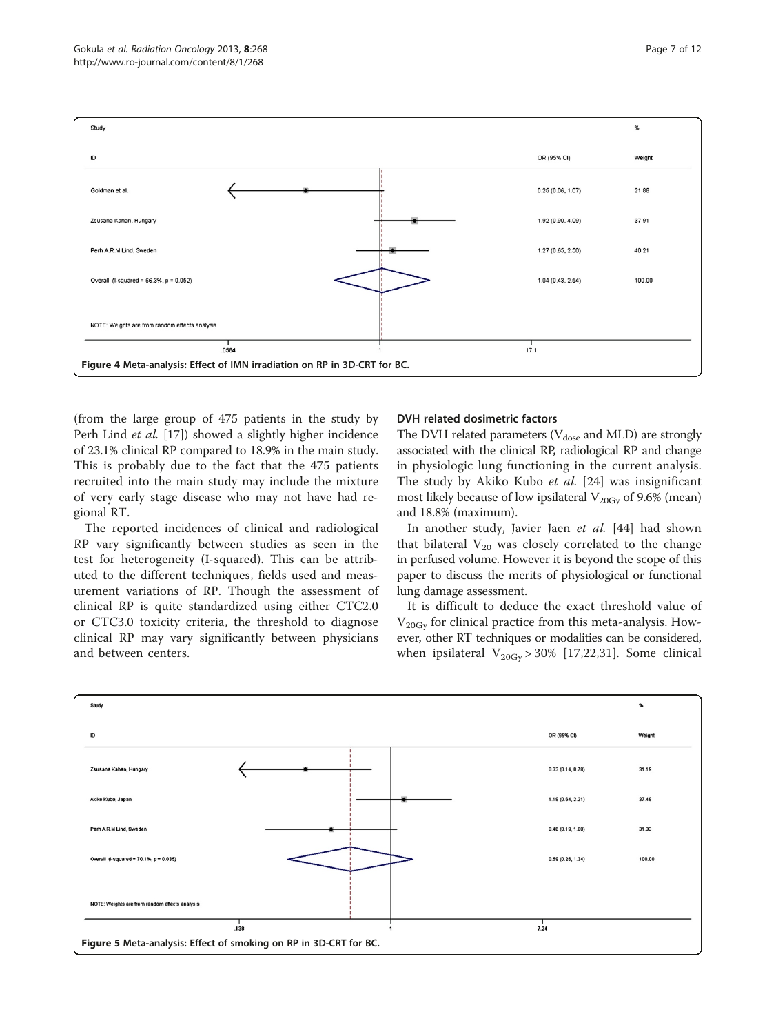<span id="page-6-0"></span>

(from the large group of 475 patients in the study by Perh Lind et al. [[17](#page-9-0)]) showed a slightly higher incidence of 23.1% clinical RP compared to 18.9% in the main study. This is probably due to the fact that the 475 patients recruited into the main study may include the mixture of very early stage disease who may not have had regional RT.

The reported incidences of clinical and radiological RP vary significantly between studies as seen in the test for heterogeneity (I-squared). This can be attributed to the different techniques, fields used and measurement variations of RP. Though the assessment of clinical RP is quite standardized using either CTC2.0 or CTC3.0 toxicity criteria, the threshold to diagnose clinical RP may vary significantly between physicians and between centers.

#### DVH related dosimetric factors

The DVH related parameters ( $V_{dose}$  and MLD) are strongly associated with the clinical RP, radiological RP and change in physiologic lung functioning in the current analysis. The study by Akiko Kubo et al. [[24\]](#page-10-0) was insignificant most likely because of low ipsilateral  $V_{20Gy}$  of 9.6% (mean) and 18.8% (maximum).

In another study, Javier Jaen et al. [[44\]](#page-10-0) had shown that bilateral  $V_{20}$  was closely correlated to the change in perfused volume. However it is beyond the scope of this paper to discuss the merits of physiological or functional lung damage assessment.

It is difficult to deduce the exact threshold value of  $V_{20\text{Gv}}$  for clinical practice from this meta-analysis. However, other RT techniques or modalities can be considered, when ipsilateral  $V_{20Gy} > 30\%$  [[17,](#page-9-0)[22,31](#page-10-0)]. Some clinical

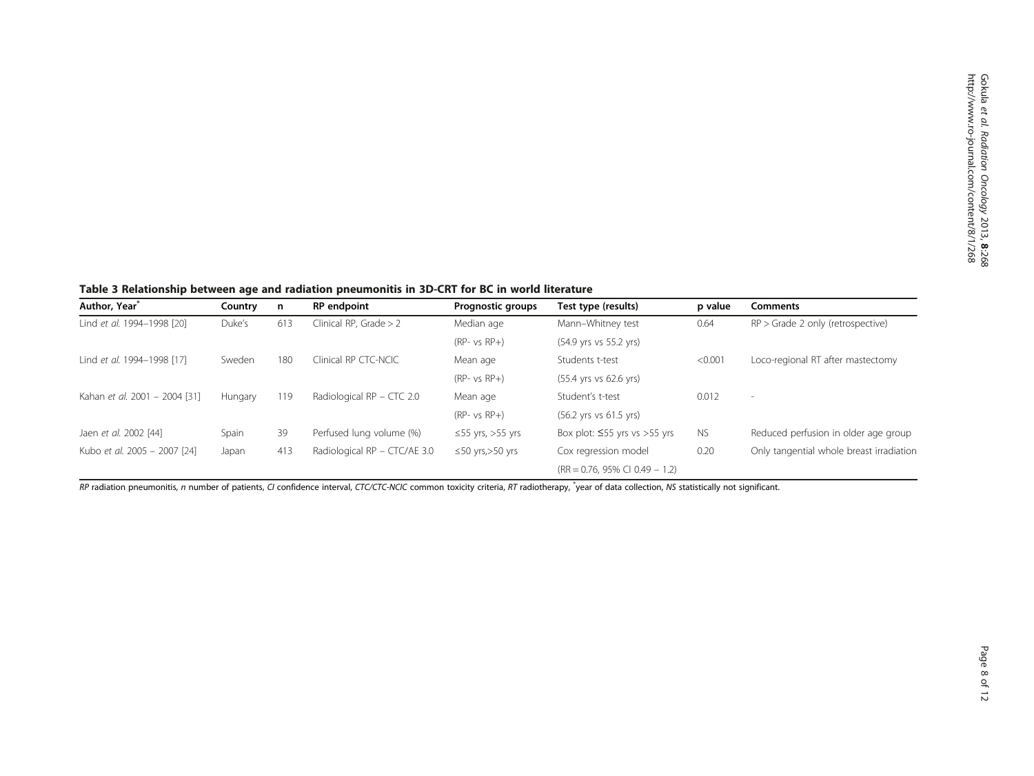<span id="page-7-0"></span>Table 3 Relationship between age and radiation pneumonitis in 3D-CRT for BC in world literature

| Author, Year <sup>*</sup>     | Country | n   | <b>RP</b> endpoint           | <b>Prognostic groups</b> | Test type (results)                        | p value   | <b>Comments</b>                          |
|-------------------------------|---------|-----|------------------------------|--------------------------|--------------------------------------------|-----------|------------------------------------------|
| Lind et al. 1994-1998 [20]    | Duke's  | 613 | Clinical RP, Grade $> 2$     | Median age               | Mann-Whitney test                          | 0.64      | $RP >$ Grade 2 only (retrospective)      |
|                               |         |     |                              | $(RP-vs RP+)$            | (54.9 yrs vs 55.2 yrs)                     |           |                                          |
| Lind et al. 1994-1998 [17]    | Sweden  | 180 | Clinical RP CTC-NCIC         | Mean age                 | Students t-test                            | < 0.001   | Loco-regional RT after mastectomy        |
|                               |         |     |                              | $(RP-vsRP+)$             | (55.4 yrs vs 62.6 yrs)                     |           |                                          |
| Kahan et al. 2001 - 2004 [31] | Hungary | 119 | Radiological $RP - CTC$ 2.0  | Mean age                 | Student's t-test                           | 0.012     | $\overline{\phantom{a}}$                 |
|                               |         |     |                              | $(RP-vs RP+)$            | (56.2 yrs vs 61.5 yrs)                     |           |                                          |
| Jaen et al. 2002 [44]         | Spain   | 39  | Perfused lung volume (%)     | $\leq$ 55 yrs, >55 yrs   | Box plot: $\leq$ 55 yrs vs > 55 yrs        | <b>NS</b> | Reduced perfusion in older age group     |
| Kubo et al. 2005 - 2007 [24]  | Japan   | 413 | Radiological RP - CTC/AE 3.0 | $\leq$ 50 yrs, > 50 yrs  | Cox regression model                       | 0.20      | Only tangential whole breast irradiation |
|                               |         |     |                              |                          | $(RR = 0.76, 95\% \text{ CI } 0.49 - 1.2)$ |           |                                          |

RP radiation pneumonitis, n number of patients, CI confidence interval, CTC/CTC-NCIC common toxicity criteria, RT radiotherapy, "year of data collection, NS statistically not significant.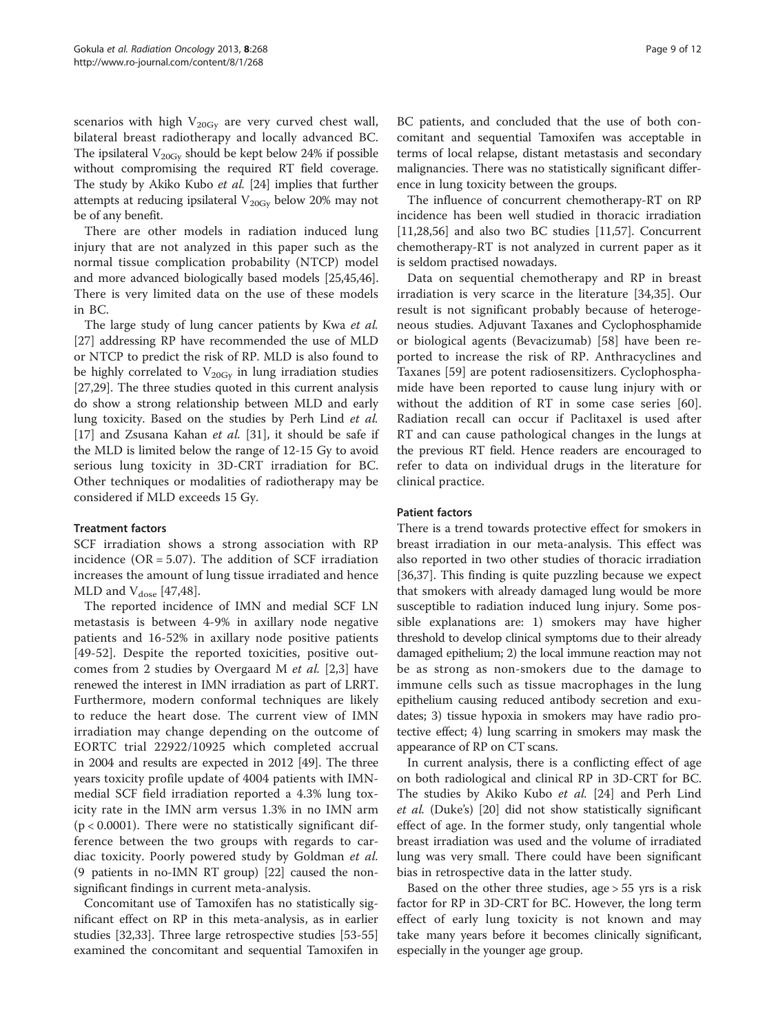scenarios with high  $V_{20Gy}$  are very curved chest wall, bilateral breast radiotherapy and locally advanced BC. The ipsilateral  $V_{20\text{Gy}}$  should be kept below 24% if possible without compromising the required RT field coverage. The study by Akiko Kubo et al. [[24](#page-10-0)] implies that further attempts at reducing ipsilateral  $V_{20Gy}$  below 20% may not be of any benefit.

There are other models in radiation induced lung injury that are not analyzed in this paper such as the normal tissue complication probability (NTCP) model and more advanced biologically based models [\[25,45,46](#page-10-0)]. There is very limited data on the use of these models in BC.

The large study of lung cancer patients by Kwa et al. [[27\]](#page-10-0) addressing RP have recommended the use of MLD or NTCP to predict the risk of RP. MLD is also found to be highly correlated to  $V_{20\text{Gv}}$  in lung irradiation studies [[27,29\]](#page-10-0). The three studies quoted in this current analysis do show a strong relationship between MLD and early lung toxicity. Based on the studies by Perh Lind et al. [[17\]](#page-9-0) and Zsusana Kahan et al. [[31\]](#page-10-0), it should be safe if the MLD is limited below the range of 12-15 Gy to avoid serious lung toxicity in 3D-CRT irradiation for BC. Other techniques or modalities of radiotherapy may be considered if MLD exceeds 15 Gy.

#### Treatment factors

SCF irradiation shows a strong association with RP incidence ( $OR = 5.07$ ). The addition of SCF irradiation increases the amount of lung tissue irradiated and hence MLD and  $V_{dose}$  [\[47](#page-10-0),[48\]](#page-10-0).

The reported incidence of IMN and medial SCF LN metastasis is between 4-9% in axillary node negative patients and 16-52% in axillary node positive patients [[49-52\]](#page-10-0). Despite the reported toxicities, positive outcomes from 2 studies by Overgaard M et al. [[2,3\]](#page-9-0) have renewed the interest in IMN irradiation as part of LRRT. Furthermore, modern conformal techniques are likely to reduce the heart dose. The current view of IMN irradiation may change depending on the outcome of EORTC trial 22922/10925 which completed accrual in 2004 and results are expected in 2012 [[49\]](#page-10-0). The three years toxicity profile update of 4004 patients with IMNmedial SCF field irradiation reported a 4.3% lung toxicity rate in the IMN arm versus 1.3% in no IMN arm  $(p < 0.0001)$ . There were no statistically significant difference between the two groups with regards to cardiac toxicity. Poorly powered study by Goldman et al. (9 patients in no-IMN RT group) [\[22\]](#page-10-0) caused the nonsignificant findings in current meta-analysis.

Concomitant use of Tamoxifen has no statistically significant effect on RP in this meta-analysis, as in earlier studies [[32](#page-10-0),[33](#page-10-0)]. Three large retrospective studies [\[53-55](#page-10-0)] examined the concomitant and sequential Tamoxifen in

BC patients, and concluded that the use of both concomitant and sequential Tamoxifen was acceptable in terms of local relapse, distant metastasis and secondary malignancies. There was no statistically significant difference in lung toxicity between the groups.

The influence of concurrent chemotherapy-RT on RP incidence has been well studied in thoracic irradiation [[11,](#page-9-0)[28,56\]](#page-10-0) and also two BC studies [\[11,](#page-9-0)[57\]](#page-10-0). Concurrent chemotherapy-RT is not analyzed in current paper as it is seldom practised nowadays.

Data on sequential chemotherapy and RP in breast irradiation is very scarce in the literature [[34,35](#page-10-0)]. Our result is not significant probably because of heterogeneous studies. Adjuvant Taxanes and Cyclophosphamide or biological agents (Bevacizumab) [[58\]](#page-11-0) have been reported to increase the risk of RP. Anthracyclines and Taxanes [[59\]](#page-11-0) are potent radiosensitizers. Cyclophosphamide have been reported to cause lung injury with or without the addition of RT in some case series [\[60](#page-11-0)]. Radiation recall can occur if Paclitaxel is used after RT and can cause pathological changes in the lungs at the previous RT field. Hence readers are encouraged to refer to data on individual drugs in the literature for clinical practice.

### Patient factors

There is a trend towards protective effect for smokers in breast irradiation in our meta-analysis. This effect was also reported in two other studies of thoracic irradiation [[36,37\]](#page-10-0). This finding is quite puzzling because we expect that smokers with already damaged lung would be more susceptible to radiation induced lung injury. Some possible explanations are: 1) smokers may have higher threshold to develop clinical symptoms due to their already damaged epithelium; 2) the local immune reaction may not be as strong as non-smokers due to the damage to immune cells such as tissue macrophages in the lung epithelium causing reduced antibody secretion and exudates; 3) tissue hypoxia in smokers may have radio protective effect; 4) lung scarring in smokers may mask the appearance of RP on CT scans.

In current analysis, there is a conflicting effect of age on both radiological and clinical RP in 3D-CRT for BC. The studies by Akiko Kubo et al. [[24\]](#page-10-0) and Perh Lind et al. (Duke's) [[20\]](#page-10-0) did not show statistically significant effect of age. In the former study, only tangential whole breast irradiation was used and the volume of irradiated lung was very small. There could have been significant bias in retrospective data in the latter study.

Based on the other three studies, age > 55 yrs is a risk factor for RP in 3D-CRT for BC. However, the long term effect of early lung toxicity is not known and may take many years before it becomes clinically significant, especially in the younger age group.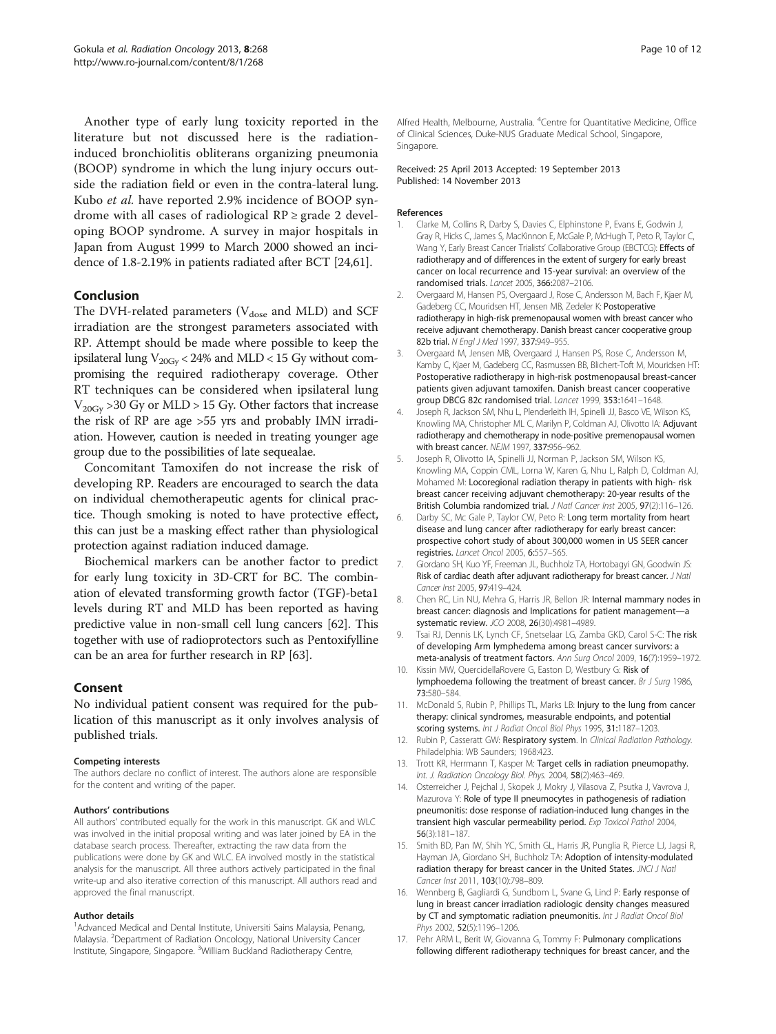<span id="page-9-0"></span>Another type of early lung toxicity reported in the literature but not discussed here is the radiationinduced bronchiolitis obliterans organizing pneumonia (BOOP) syndrome in which the lung injury occurs outside the radiation field or even in the contra-lateral lung. Kubo et al. have reported 2.9% incidence of BOOP syndrome with all cases of radiological  $RP \ge$  grade 2 developing BOOP syndrome. A survey in major hospitals in Japan from August 1999 to March 2000 showed an incidence of 1.8-2.19% in patients radiated after BCT [\[24](#page-10-0)[,61\]](#page-11-0).

### Conclusion

The DVH-related parameters ( $V_{dose}$  and MLD) and SCF irradiation are the strongest parameters associated with RP. Attempt should be made where possible to keep the ipsilateral lung  $V_{20\text{Gv}}$  < 24% and MLD < 15 Gy without compromising the required radiotherapy coverage. Other RT techniques can be considered when ipsilateral lung  $V_{20\text{Gv}} > 30 \text{ Gy}$  or MLD  $> 15 \text{ Gy}$ . Other factors that increase the risk of RP are age >55 yrs and probably IMN irradiation. However, caution is needed in treating younger age group due to the possibilities of late sequealae.

Concomitant Tamoxifen do not increase the risk of developing RP. Readers are encouraged to search the data on individual chemotherapeutic agents for clinical practice. Though smoking is noted to have protective effect, this can just be a masking effect rather than physiological protection against radiation induced damage.

Biochemical markers can be another factor to predict for early lung toxicity in 3D-CRT for BC. The combination of elevated transforming growth factor (TGF)-beta1 levels during RT and MLD has been reported as having predictive value in non-small cell lung cancers [\[62\]](#page-11-0). This together with use of radioprotectors such as Pentoxifylline can be an area for further research in RP [[63](#page-11-0)].

#### Consent

No individual patient consent was required for the publication of this manuscript as it only involves analysis of published trials.

#### Competing interests

The authors declare no conflict of interest. The authors alone are responsible for the content and writing of the paper.

#### Authors' contributions

All authors' contributed equally for the work in this manuscript. GK and WLC was involved in the initial proposal writing and was later joined by EA in the database search process. Thereafter, extracting the raw data from the publications were done by GK and WLC. EA involved mostly in the statistical analysis for the manuscript. All three authors actively participated in the final write-up and also iterative correction of this manuscript. All authors read and approved the final manuscript.

#### Author details

<sup>1</sup> Advanced Medical and Dental Institute, Universiti Sains Malaysia, Penang, Malaysia. <sup>2</sup>Department of Radiation Oncology, National University Cancer Institute, Singapore, Singapore. <sup>3</sup> William Buckland Radiotherapy Centre,

Alfred Health, Melbourne, Australia. <sup>4</sup>Centre for Quantitative Medicine, Office of Clinical Sciences, Duke-NUS Graduate Medical School, Singapore, Singapore.

#### Received: 25 April 2013 Accepted: 19 September 2013 Published: 14 November 2013

#### References

- 1. Clarke M, Collins R, Darby S, Davies C, Elphinstone P, Evans E, Godwin J, Gray R, Hicks C, James S, MacKinnon E, McGale P, McHugh T, Peto R, Taylor C, Wang Y, Early Breast Cancer Trialists' Collaborative Group (EBCTCG): Effects of radiotherapy and of differences in the extent of surgery for early breast cancer on local recurrence and 15-year survival: an overview of the randomised trials. Lancet 2005, 366:2087–2106.
- 2. Overgaard M, Hansen PS, Overgaard J, Rose C, Andersson M, Bach F, Kjaer M, Gadeberg CC, Mouridsen HT, Jensen MB, Zedeler K: Postoperative radiotherapy in high-risk premenopausal women with breast cancer who receive adjuvant chemotherapy. Danish breast cancer cooperative group 82b trial. N Engl J Med 1997, 337:949-955.
- 3. Overgaard M, Jensen MB, Overgaard J, Hansen PS, Rose C, Andersson M, Kamby C, Kjaer M, Gadeberg CC, Rasmussen BB, Blichert-Toft M, Mouridsen HT: Postoperative radiotherapy in high-risk postmenopausal breast-cancer patients given adjuvant tamoxifen. Danish breast cancer cooperative group DBCG 82c randomised trial. Lancet 1999, 353:1641–1648.
- 4. Joseph R, Jackson SM, Nhu L, Plenderleith IH, Spinelli JJ, Basco VE, Wilson KS, Knowling MA, Christopher ML C, Marilyn P, Coldman AJ, Olivotto IA: Adjuvant radiotherapy and chemotherapy in node-positive premenopausal women with breast cancer. NEJM 1997, 337:956–962.
- 5. Joseph R, Olivotto IA, Spinelli JJ, Norman P, Jackson SM, Wilson KS, Knowling MA, Coppin CML, Lorna W, Karen G, Nhu L, Ralph D, Coldman AJ, Mohamed M: Locoregional radiation therapy in patients with high- risk breast cancer receiving adjuvant chemotherapy: 20-year results of the British Columbia randomized trial. J Natl Cancer Inst 2005, 97(2):116–126.
- 6. Darby SC, Mc Gale P, Taylor CW, Peto R: Long term mortality from heart disease and lung cancer after radiotherapy for early breast cancer: prospective cohort study of about 300,000 women in US SEER cancer registries. Lancet Oncol 2005, 6:557–565.
- 7. Giordano SH, Kuo YF, Freeman JL, Buchholz TA, Hortobagyi GN, Goodwin JS: Risk of cardiac death after adjuvant radiotherapy for breast cancer. J Natl Cancer Inst 2005, 97:419–424.
- Chen RC, Lin NU, Mehra G, Harris JR, Bellon JR: Internal mammary nodes in breast cancer: diagnosis and Implications for patient management—a systematic review. JCO 2008, 26(30):4981–4989.
- 9. Tsai RJ, Dennis LK, Lynch CF, Snetselaar LG, Zamba GKD, Carol S-C: The risk of developing Arm lymphedema among breast cancer survivors: a meta-analysis of treatment factors. Ann Surg Oncol 2009, 16(7):1959–1972.
- 10. Kissin MW, QuercidellaRovere G, Easton D, Westbury G: Risk of lymphoedema following the treatment of breast cancer. Br J Surg 1986, 73:580–584.
- 11. McDonald S, Rubin P, Phillips TL, Marks LB: Injury to the lung from cancer therapy: clinical syndromes, measurable endpoints, and potential scoring systems. Int J Radiat Oncol Biol Phys 1995, 31:1187–1203.
- 12. Rubin P, Casseratt GW: Respiratory system. In Clinical Radiation Pathology. Philadelphia: WB Saunders; 1968:423.
- 13. Trott KR, Herrmann T, Kasper M: Target cells in radiation pneumopathy. Int. J. Radiation Oncology Biol. Phys. 2004, 58(2):463–469.
- 14. Osterreicher J, Pejchal J, Skopek J, Mokry J, Vilasova Z, Psutka J, Vavrova J, Mazurova Y: Role of type II pneumocytes in pathogenesis of radiation pneumonitis: dose response of radiation-induced lung changes in the transient high vascular permeability period. Exp Toxicol Pathol 2004, 56(3):181–187.
- 15. Smith BD, Pan IW, Shih YC, Smith GL, Harris JR, Punglia R, Pierce LJ, Jagsi R, Hayman JA, Giordano SH, Buchholz TA: Adoption of intensity-modulated radiation therapy for breast cancer in the United States. JNCI J Natl Cancer Inst 2011, 103(10):798-809.
- 16. Wennberg B, Gagliardi G, Sundbom L, Svane G, Lind P: Early response of lung in breast cancer irradiation radiologic density changes measured by CT and symptomatic radiation pneumonitis. Int J Radiat Oncol Biol Phys 2002, 52(5):1196-1206.
- 17. Pehr ARM L, Berit W, Giovanna G, Tommy F: Pulmonary complications following different radiotherapy techniques for breast cancer, and the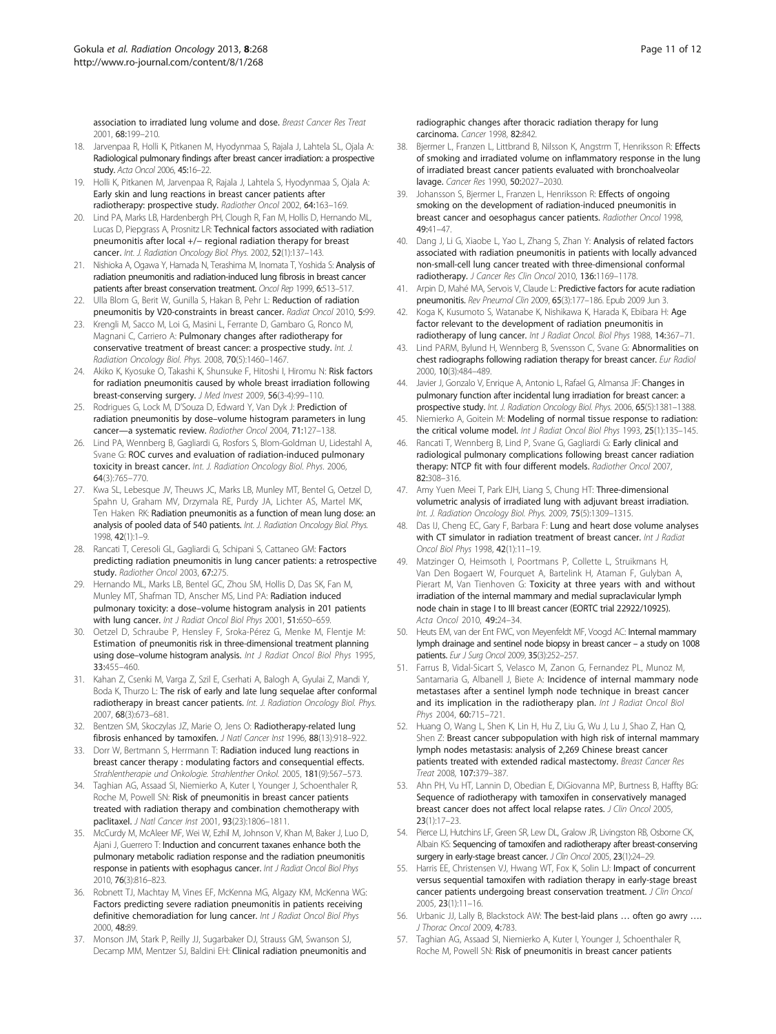<span id="page-10-0"></span>association to irradiated lung volume and dose. Breast Cancer Res Treat 2001, 68:199–210.

- 18. Jarvenpaa R, Holli K, Pitkanen M, Hyodynmaa S, Rajala J, Lahtela SL, Ojala A: Radiological pulmonary findings after breast cancer irradiation: a prospective study. Acta Oncol 2006, 45:16–22.
- 19. Holli K, Pitkanen M, Jarvenpaa R, Rajala J, Lahtela S, Hyodynmaa S, Ojala A: Early skin and lung reactions in breast cancer patients after radiotherapy: prospective study. Radiother Oncol 2002, 64:163–169.
- 20. Lind PA, Marks LB, Hardenbergh PH, Clough R, Fan M, Hollis D, Hernando ML, Lucas D, Piepgrass A, Prosnitz LR: Technical factors associated with radiation pneumonitis after local +/− regional radiation therapy for breast cancer. Int. J. Radiation Oncology Biol. Phys. 2002, 52(1):137–143.
- 21. Nishioka A, Ogawa Y, Hamada N, Terashima M, Inomata T, Yoshida S: Analysis of radiation pneumonitis and radiation-induced lung fibrosis in breast cancer patients after breast conservation treatment. Oncol Rep 1999, 6:513-517.
- 22. Ulla Blom G, Berit W, Gunilla S, Hakan B, Pehr L: Reduction of radiation pneumonitis by V20-constraints in breast cancer. Radiat Oncol 2010, 5:99.
- 23. Krengli M, Sacco M, Loi G, Masini L, Ferrante D, Gambaro G, Ronco M, Magnani C, Carriero A: Pulmonary changes after radiotherapy for conservative treatment of breast cancer: a prospective study. Int. J. Radiation Oncology Biol. Phys. 2008, 70(5):1460–1467.
- 24. Akiko K, Kyosuke O, Takashi K, Shunsuke F, Hitoshi I, Hiromu N: Risk factors for radiation pneumonitis caused by whole breast irradiation following breast-conserving surgery. J Med Invest 2009, 56(3-4):99–110.
- 25. Rodrigues G, Lock M, D'Souza D, Edward Y, Van Dyk J: Prediction of radiation pneumonitis by dose–volume histogram parameters in lung cancer—a systematic review. Radiother Oncol 2004, 71:127–138.
- 26. Lind PA, Wennberg B, Gagliardi G, Rosfors S, Blom-Goldman U, Lidestahl A, Svane G: ROC curves and evaluation of radiation-induced pulmonary toxicity in breast cancer. Int. J. Radiation Oncology Biol. Phys. 2006, 64(3):765–770.
- 27. Kwa SL, Lebesque JV, Theuws JC, Marks LB, Munley MT, Bentel G, Oetzel D, Spahn U, Graham MV, Drzymala RE, Purdy JA, Lichter AS, Martel MK, Ten Haken RK: Radiation pneumonitis as a function of mean lung dose: an analysis of pooled data of 540 patients. Int. J. Radiation Oncology Biol. Phys. 1998, 42(1):1–9.
- 28. Rancati T, Ceresoli GL, Gagliardi G, Schipani S, Cattaneo GM: Factors predicting radiation pneumonitis in lung cancer patients: a retrospective study. Radiother Oncol 2003, 67:275.
- 29. Hernando ML, Marks LB, Bentel GC, Zhou SM, Hollis D, Das SK, Fan M, Munley MT, Shafman TD, Anscher MS, Lind PA: Radiation induced pulmonary toxicity: a dose–volume histogram analysis in 201 patients with lung cancer. Int J Radiat Oncol Biol Phys 2001, 51:650-659.
- 30. Oetzel D, Schraube P, Hensley F, Sroka-Pérez G, Menke M, Flentje M: Estimation of pneumonitis risk in three-dimensional treatment planning using dose-volume histogram analysis. Int J Radiat Oncol Biol Phys 1995, 33:455–460.
- 31. Kahan Z, Csenki M, Varga Z, Szil E, Cserhati A, Balogh A, Gyulai Z, Mandi Y, Boda K, Thurzo L: The risk of early and late lung sequelae after conformal radiotherapy in breast cancer patients. Int. J. Radiation Oncology Biol. Phys. 2007, 68(3):673–681.
- 32. Bentzen SM, Skoczylas JZ, Marie O, Jens O: Radiotherapy-related lung fibrosis enhanced by tamoxifen. J Natl Cancer Inst 1996, 88(13):918–922.
- 33. Dorr W, Bertmann S, Herrmann T: Radiation induced lung reactions in breast cancer therapy : modulating factors and consequential effects. Strahlentherapie und Onkologie. Strahlenther Onkol. 2005, 181(9):567–573.
- 34. Taghian AG, Assaad SI, Niemierko A, Kuter I, Younger J, Schoenthaler R, Roche M, Powell SN: Risk of pneumonitis in breast cancer patients treated with radiation therapy and combination chemotherapy with paclitaxel. J Natl Cancer Inst 2001, 93(23):1806–1811.
- 35. McCurdy M, McAleer MF, Wei W, Ezhil M, Johnson V, Khan M, Baker J, Luo D, Ajani J, Guerrero T: Induction and concurrent taxanes enhance both the pulmonary metabolic radiation response and the radiation pneumonitis response in patients with esophagus cancer. Int J Radiat Oncol Biol Phys 2010, 76(3):816–823.
- 36. Robnett TJ, Machtay M, Vines EF, McKenna MG, Algazy KM, McKenna WG: Factors predicting severe radiation pneumonitis in patients receiving definitive chemoradiation for lung cancer. Int J Radiat Oncol Biol Phys 2000, 48:89.
- 37. Monson JM, Stark P, Reilly JJ, Sugarbaker DJ, Strauss GM, Swanson SJ, Decamp MM, Mentzer SJ, Baldini EH: Clinical radiation pneumonitis and

radiographic changes after thoracic radiation therapy for lung carcinoma. Cancer 1998, 82:842.

- 38. Bjermer L, Franzen L, Littbrand B, Nilsson K, Angstrm T, Henriksson R: Effects of smoking and irradiated volume on inflammatory response in the lung of irradiated breast cancer patients evaluated with bronchoalveolar lavage. Cancer Res 1990, 50:2027–2030.
- 39. Johansson S, Bjermer L, Franzen L, Henriksson R: Effects of ongoing smoking on the development of radiation-induced pneumonitis in breast cancer and oesophagus cancer patients. Radiother Oncol 1998, 49:41–47.
- 40. Dang J, Li G, Xiaobe L, Yao L, Zhang S, Zhan Y: Analysis of related factors associated with radiation pneumonitis in patients with locally advanced non-small-cell lung cancer treated with three-dimensional conformal radiotherapy. J Cancer Res Clin Oncol 2010, 136:1169–1178.
- 41. Arpin D, Mahé MA, Servois V, Claude L: Predictive factors for acute radiation pneumonitis. Rev Pneumol Clin 2009, 65(3):177–186. Epub 2009 Jun 3.
- 42. Koga K, Kusumoto S, Watanabe K, Nishikawa K, Harada K, Ebibara H: Age factor relevant to the development of radiation pneumonitis in radiotherapy of lung cancer. Int J Radiat Oncol. Biol Phys 1988, 14:367–71.
- 43. Lind PARM, Bylund H, Wennberg B, Svensson C, Svane G: Abnormalities on chest radiographs following radiation therapy for breast cancer. Eur Radiol 2000, 10(3):484–489.
- 44. Javier J, Gonzalo V, Enrique A, Antonio L, Rafael G, Almansa JF: Changes in pulmonary function after incidental lung irradiation for breast cancer: a prospective study. Int. J. Radiation Oncology Biol. Phys. 2006, 65(5):1381–1388.
- Niemierko A, Goitein M: Modeling of normal tissue response to radiation: the critical volume model. Int J Radiat Oncol Biol Phys 1993, 25(1):135-145.
- 46. Rancati T, Wennberg B, Lind P, Svane G, Gagliardi G: Early clinical and radiological pulmonary complications following breast cancer radiation therapy: NTCP fit with four different models. Radiother Oncol 2007, 82:308–316.
- 47. Amy Yuen Meei T, Park EJH, Liang S, Chung HT: Three-dimensional volumetric analysis of irradiated lung with adjuvant breast irradiation. Int. J. Radiation Oncology Biol. Phys. 2009, 75(5):1309–1315.
- 48. Das IJ, Cheng EC, Gary F, Barbara F: Lung and heart dose volume analyses with CT simulator in radiation treatment of breast cancer. Int J Radiat Oncol Biol Phys 1998, 42(1):11–19.
- 49. Matzinger O, Heimsoth I, Poortmans P, Collette L, Struikmans H, Van Den Bogaert W, Fourquet A, Bartelink H, Ataman F, Gulyban A, Pierart M, Van Tienhoven G: Toxicity at three years with and without irradiation of the internal mammary and medial supraclavicular lymph node chain in stage I to III breast cancer (EORTC trial 22922/10925). Acta Oncol 2010, 49:24-34.
- 50. Heuts EM, van der Ent FWC, von Meyenfeldt MF, Voogd AC: Internal mammary lymph drainage and sentinel node biopsy in breast cancer – a study on 1008 patients. Eur J Surg Oncol 2009, 35(3):252–257.
- 51. Farrus B, Vidal-Sicart S, Velasco M, Zanon G, Fernandez PL, Munoz M, Santamaria G, Albanell J, Biete A: Incidence of internal mammary node metastases after a sentinel lymph node technique in breast cancer and its implication in the radiotherapy plan. Int J Radiat Oncol Biol Phys 2004, 60:715-721.
- 52. Huang O, Wang L, Shen K, Lin H, Hu Z, Liu G, Wu J, Lu J, Shao Z, Han Q, Shen Z: Breast cancer subpopulation with high risk of internal mammary lymph nodes metastasis: analysis of 2,269 Chinese breast cancer patients treated with extended radical mastectomy. Breast Cancer Res Treat 2008, 107:379–387.
- 53. Ahn PH, Vu HT, Lannin D, Obedian E, DiGiovanna MP, Burtness B, Haffty BG: Sequence of radiotherapy with tamoxifen in conservatively managed breast cancer does not affect local relapse rates. J Clin Oncol 2005, 23(1):17–23.
- 54. Pierce LJ, Hutchins LF, Green SR, Lew DL, Gralow JR, Livingston RB, Osborne CK, Albain KS: Sequencing of tamoxifen and radiotherapy after breast-conserving surgery in early-stage breast cancer. J Clin Oncol 2005, 23(1):24-29.
- 55. Harris EE, Christensen VJ, Hwang WT, Fox K, Solin LJ: Impact of concurrent versus sequential tamoxifen with radiation therapy in early-stage breast cancer patients undergoing breast conservation treatment. J Clin Oncol 2005, 23(1):11–16.
- 56. Urbanic JJ, Lally B, Blackstock AW: The best-laid plans ... often go awry .... J Thorac Oncol 2009, 4:783.
- 57. Taghian AG, Assaad SI, Niemierko A, Kuter I, Younger J, Schoenthaler R, Roche M, Powell SN: Risk of pneumonitis in breast cancer patients